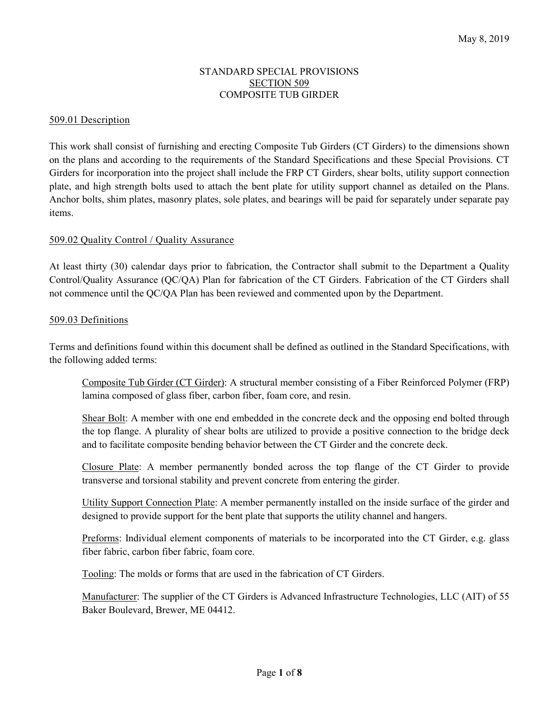### STANDARD SPECIAL PROVISIONS SECTION 509 COMPOSITE TUB GIRDER

#### 509.01 Description

This work shall consist of furnishing and erecting Composite Tub Girders (CT Girders) to the dimensions shown on the plans and according to the requirements of the Standard Specifications and these Special Provisions. CT Girders for incorporation into the project shall include the FRP CT Girders, shear bolts, utility support connection plate, and high strength bolts used to attach the bent plate for utility support channel as detailed on the Plans. Anchor bolts, shim plates, masonry plates, sole plates, and bearings will be paid for separately under separate pay items.

#### 509.02 Quality Control / Quality Assurance

At least thirty (30) calendar days prior to fabrication, the Contractor shall submit to the Department a Quality Control/Quality Assurance (QC/QA) Plan for fabrication of the CT Girders. Fabrication of the CT Girders shall not commence until the QC/QA Plan has been reviewed and commented upon by the Department.

#### 509.03 Definitions

Terms and definitions found within this document shall be defined as outlined in the Standard Specifications, with the following added terms:

 Composite Tub Girder (CT Girder): A structural member consisting of a Fiber Reinforced Polymer (FRP) lamina composed of glass fiber, carbon fiber, foam core, and resin.

 Shear Bolt: A member with one end embedded in the concrete deck and the opposing end bolted through the top flange. A plurality of shear bolts are utilized to provide a positive connection to the bridge deck and to facilitate composite bending behavior between the CT Girder and the concrete deck.

 Closure Plate: A member permanently bonded across the top flange of the CT Girder to provide transverse and torsional stability and prevent concrete from entering the girder.

 Utility Support Connection Plate: A member permanently installed on the inside surface of the girder and designed to provide support for the bent plate that supports the utility channel and hangers.

Preforms: Individual element components of materials to be incorporated into the CT Girder, e.g. glass fiber fabric, carbon fiber fabric, foam core.

Tooling: The molds or forms that are used in the fabrication of CT Girders.

 Manufacturer: The supplier of the CT Girders is Advanced Infrastructure Technologies, LLC (AIT) of 55 Baker Boulevard, Brewer, ME 04412.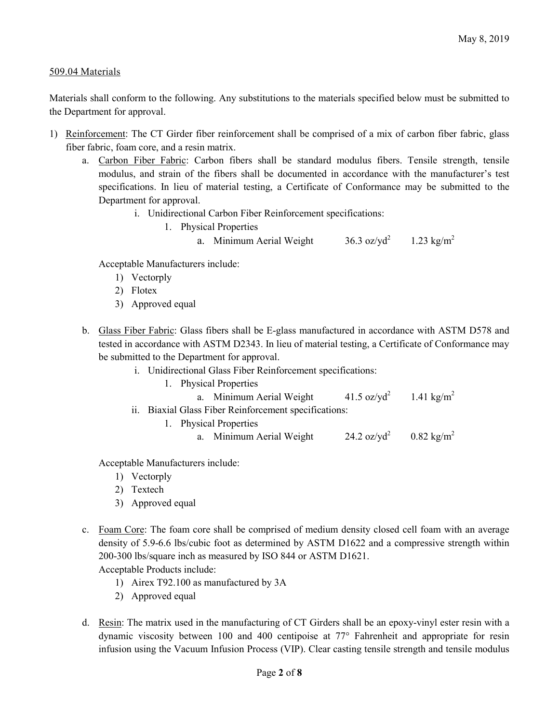## 509.04 Materials

Materials shall conform to the following. Any substitutions to the materials specified below must be submitted to the Department for approval.

- 1) Reinforcement: The CT Girder fiber reinforcement shall be comprised of a mix of carbon fiber fabric, glass fiber fabric, foam core, and a resin matrix.
	- a. Carbon Fiber Fabric: Carbon fibers shall be standard modulus fibers. Tensile strength, tensile modulus, and strain of the fibers shall be documented in accordance with the manufacturer's test specifications. In lieu of material testing, a Certificate of Conformance may be submitted to the Department for approval.
		- i. Unidirectional Carbon Fiber Reinforcement specifications:
			- 1. Physical Properties
				- a. Minimum Aerial Weight 36.3 oz/yd<sup>2</sup> 1.23 kg/m<sup>2</sup>

Acceptable Manufacturers include:

- 1) Vectorply
- 2) Flotex
- 3) Approved equal
- b. Glass Fiber Fabric: Glass fibers shall be E-glass manufactured in accordance with ASTM D578 and tested in accordance with ASTM D2343. In lieu of material testing, a Certificate of Conformance may be submitted to the Department for approval.
	- i. Unidirectional Glass Fiber Reinforcement specifications:
		- 1. Physical Properties

| a. Minimum Aerial Weight                              | 41.5 oz/y $d^2$                                | 1.41 kg/m <sup>2</sup> |
|-------------------------------------------------------|------------------------------------------------|------------------------|
| ii. Biaxial Glass Fiber Reinforcement specifications: |                                                |                        |
| 1. Physical Properties                                |                                                |                        |
| a. Minimum Aerial Weight                              | 24.2 oz/yd <sup>2</sup> 0.82 kg/m <sup>2</sup> |                        |

Acceptable Manufacturers include:

- 1) Vectorply
- 2) Textech
- 3) Approved equal
- c. Foam Core: The foam core shall be comprised of medium density closed cell foam with an average density of 5.9-6.6 lbs/cubic foot as determined by ASTM D1622 and a compressive strength within 200-300 lbs/square inch as measured by ISO 844 or ASTM D1621. Acceptable Products include:
	- 1) Airex T92.100 as manufactured by 3A
	- 2) Approved equal
- d. Resin: The matrix used in the manufacturing of CT Girders shall be an epoxy-vinyl ester resin with a dynamic viscosity between 100 and 400 centipoise at 77° Fahrenheit and appropriate for resin infusion using the Vacuum Infusion Process (VIP). Clear casting tensile strength and tensile modulus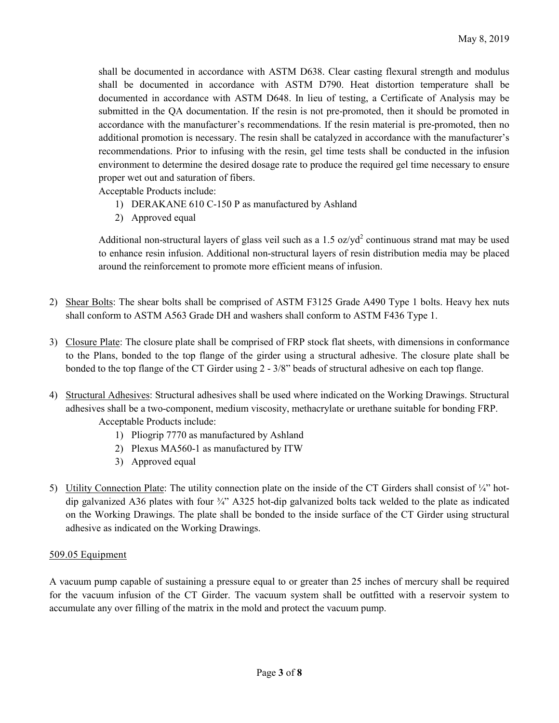shall be documented in accordance with ASTM D638. Clear casting flexural strength and modulus shall be documented in accordance with ASTM D790. Heat distortion temperature shall be documented in accordance with ASTM D648. In lieu of testing, a Certificate of Analysis may be submitted in the QA documentation. If the resin is not pre-promoted, then it should be promoted in accordance with the manufacturer's recommendations. If the resin material is pre-promoted, then no additional promotion is necessary. The resin shall be catalyzed in accordance with the manufacturer's recommendations. Prior to infusing with the resin, gel time tests shall be conducted in the infusion environment to determine the desired dosage rate to produce the required gel time necessary to ensure proper wet out and saturation of fibers.

Acceptable Products include:

- 1) DERAKANE 610 C-150 P as manufactured by Ashland
- 2) Approved equal

Additional non-structural layers of glass veil such as a  $1.5 \text{ oz}/\text{yd}^2$  continuous strand mat may be used to enhance resin infusion. Additional non-structural layers of resin distribution media may be placed around the reinforcement to promote more efficient means of infusion.

- 2) Shear Bolts: The shear bolts shall be comprised of ASTM F3125 Grade A490 Type 1 bolts. Heavy hex nuts shall conform to ASTM A563 Grade DH and washers shall conform to ASTM F436 Type 1.
- 3) Closure Plate: The closure plate shall be comprised of FRP stock flat sheets, with dimensions in conformance to the Plans, bonded to the top flange of the girder using a structural adhesive. The closure plate shall be bonded to the top flange of the CT Girder using 2 - 3/8" beads of structural adhesive on each top flange.
- 4) Structural Adhesives: Structural adhesives shall be used where indicated on the Working Drawings. Structural adhesives shall be a two-component, medium viscosity, methacrylate or urethane suitable for bonding FRP. Acceptable Products include:
	- 1) Pliogrip 7770 as manufactured by Ashland
	- 2) Plexus MA560-1 as manufactured by ITW
	- 3) Approved equal
- 5) Utility Connection Plate: The utility connection plate on the inside of the CT Girders shall consist of  $\frac{1}{4}$ " hotdip galvanized A36 plates with four ¾" A325 hot-dip galvanized bolts tack welded to the plate as indicated on the Working Drawings. The plate shall be bonded to the inside surface of the CT Girder using structural adhesive as indicated on the Working Drawings.

# 509.05 Equipment

A vacuum pump capable of sustaining a pressure equal to or greater than 25 inches of mercury shall be required for the vacuum infusion of the CT Girder. The vacuum system shall be outfitted with a reservoir system to accumulate any over filling of the matrix in the mold and protect the vacuum pump.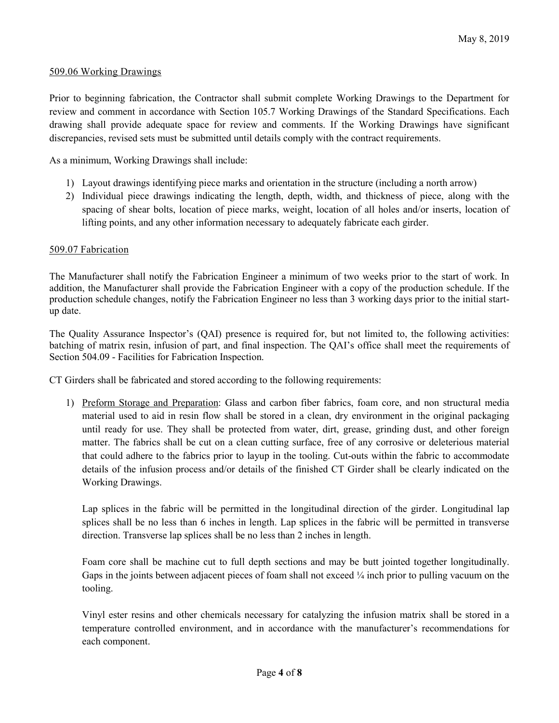#### 509.06 Working Drawings

Prior to beginning fabrication, the Contractor shall submit complete Working Drawings to the Department for review and comment in accordance with Section 105.7 Working Drawings of the Standard Specifications. Each drawing shall provide adequate space for review and comments. If the Working Drawings have significant discrepancies, revised sets must be submitted until details comply with the contract requirements.

As a minimum, Working Drawings shall include:

- 1) Layout drawings identifying piece marks and orientation in the structure (including a north arrow)
- 2) Individual piece drawings indicating the length, depth, width, and thickness of piece, along with the spacing of shear bolts, location of piece marks, weight, location of all holes and/or inserts, location of lifting points, and any other information necessary to adequately fabricate each girder.

#### 509.07 Fabrication

The Manufacturer shall notify the Fabrication Engineer a minimum of two weeks prior to the start of work. In addition, the Manufacturer shall provide the Fabrication Engineer with a copy of the production schedule. If the production schedule changes, notify the Fabrication Engineer no less than 3 working days prior to the initial startup date.

The Quality Assurance Inspector's (QAI) presence is required for, but not limited to, the following activities: batching of matrix resin, infusion of part, and final inspection. The QAI's office shall meet the requirements of Section 504.09 - Facilities for Fabrication Inspection.

CT Girders shall be fabricated and stored according to the following requirements:

1) Preform Storage and Preparation: Glass and carbon fiber fabrics, foam core, and non structural media material used to aid in resin flow shall be stored in a clean, dry environment in the original packaging until ready for use. They shall be protected from water, dirt, grease, grinding dust, and other foreign matter. The fabrics shall be cut on a clean cutting surface, free of any corrosive or deleterious material that could adhere to the fabrics prior to layup in the tooling. Cut-outs within the fabric to accommodate details of the infusion process and/or details of the finished CT Girder shall be clearly indicated on the Working Drawings.

Lap splices in the fabric will be permitted in the longitudinal direction of the girder. Longitudinal lap splices shall be no less than 6 inches in length. Lap splices in the fabric will be permitted in transverse direction. Transverse lap splices shall be no less than 2 inches in length.

Foam core shall be machine cut to full depth sections and may be butt jointed together longitudinally. Gaps in the joints between adjacent pieces of foam shall not exceed  $\frac{1}{4}$  inch prior to pulling vacuum on the tooling.

Vinyl ester resins and other chemicals necessary for catalyzing the infusion matrix shall be stored in a temperature controlled environment, and in accordance with the manufacturer's recommendations for each component.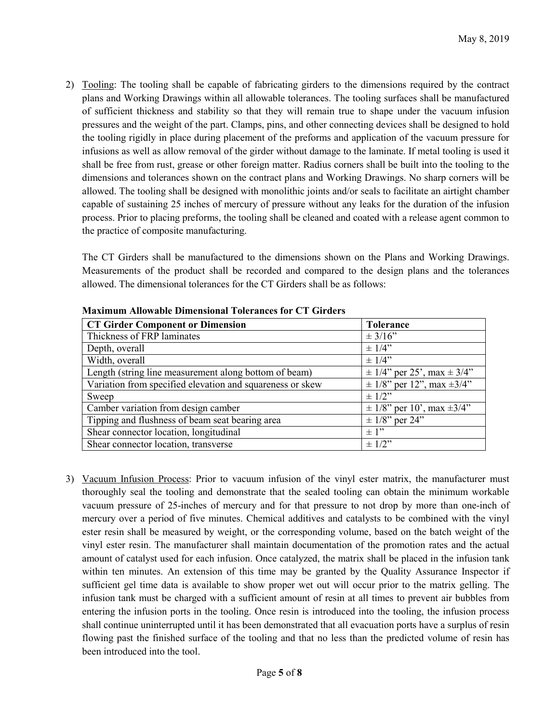2) Tooling: The tooling shall be capable of fabricating girders to the dimensions required by the contract plans and Working Drawings within all allowable tolerances. The tooling surfaces shall be manufactured of sufficient thickness and stability so that they will remain true to shape under the vacuum infusion pressures and the weight of the part. Clamps, pins, and other connecting devices shall be designed to hold the tooling rigidly in place during placement of the preforms and application of the vacuum pressure for infusions as well as allow removal of the girder without damage to the laminate. If metal tooling is used it shall be free from rust, grease or other foreign matter. Radius corners shall be built into the tooling to the dimensions and tolerances shown on the contract plans and Working Drawings. No sharp corners will be allowed. The tooling shall be designed with monolithic joints and/or seals to facilitate an airtight chamber capable of sustaining 25 inches of mercury of pressure without any leaks for the duration of the infusion process. Prior to placing preforms, the tooling shall be cleaned and coated with a release agent common to the practice of composite manufacturing.

The CT Girders shall be manufactured to the dimensions shown on the Plans and Working Drawings. Measurements of the product shall be recorded and compared to the design plans and the tolerances allowed. The dimensional tolerances for the CT Girders shall be as follows:

| <b>CT Girder Component or Dimension</b>                   | <b>Tolerance</b>                   |
|-----------------------------------------------------------|------------------------------------|
| Thickness of FRP laminates                                | $\pm 3/16$ "                       |
| Depth, overall                                            | $\pm$ 1/4"                         |
| Width, overall                                            | $\pm$ 1/4"                         |
| Length (string line measurement along bottom of beam)     | $\pm$ 1/4" per 25', max $\pm$ 3/4" |
| Variation from specified elevation and squareness or skew | $\pm$ 1/8" per 12", max $\pm$ 3/4" |
| Sweep                                                     | $\pm$ 1/2"                         |
| Camber variation from design camber                       | $\pm$ 1/8" per 10', max $\pm$ 3/4" |
| Tipping and flushness of beam seat bearing area           | $\pm$ 1/8" per 24"                 |
| Shear connector location, longitudinal                    | $\pm$ 1"                           |
| Shear connector location, transverse                      | $\pm$ 1/2"                         |

**Maximum Allowable Dimensional Tolerances for CT Girders** 

3) Vacuum Infusion Process: Prior to vacuum infusion of the vinyl ester matrix, the manufacturer must thoroughly seal the tooling and demonstrate that the sealed tooling can obtain the minimum workable vacuum pressure of 25-inches of mercury and for that pressure to not drop by more than one-inch of mercury over a period of five minutes. Chemical additives and catalysts to be combined with the vinyl ester resin shall be measured by weight, or the corresponding volume, based on the batch weight of the vinyl ester resin. The manufacturer shall maintain documentation of the promotion rates and the actual amount of catalyst used for each infusion. Once catalyzed, the matrix shall be placed in the infusion tank within ten minutes. An extension of this time may be granted by the Quality Assurance Inspector if sufficient gel time data is available to show proper wet out will occur prior to the matrix gelling. The infusion tank must be charged with a sufficient amount of resin at all times to prevent air bubbles from entering the infusion ports in the tooling. Once resin is introduced into the tooling, the infusion process shall continue uninterrupted until it has been demonstrated that all evacuation ports have a surplus of resin flowing past the finished surface of the tooling and that no less than the predicted volume of resin has been introduced into the tool.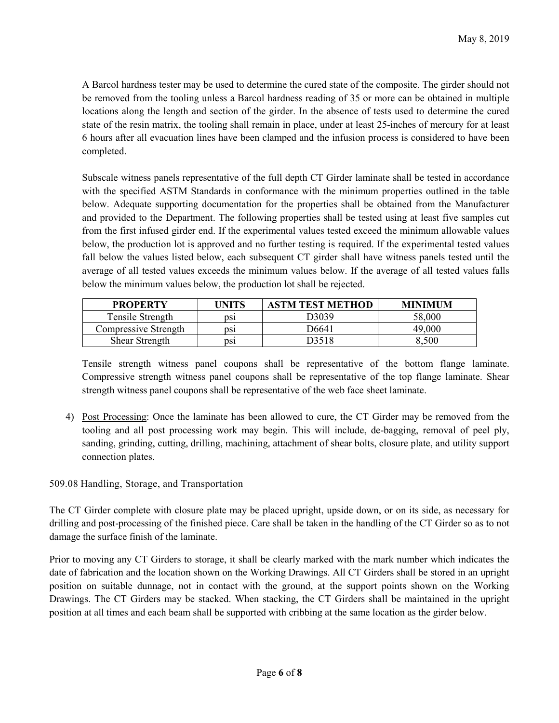A Barcol hardness tester may be used to determine the cured state of the composite. The girder should not be removed from the tooling unless a Barcol hardness reading of 35 or more can be obtained in multiple locations along the length and section of the girder. In the absence of tests used to determine the cured state of the resin matrix, the tooling shall remain in place, under at least 25-inches of mercury for at least 6 hours after all evacuation lines have been clamped and the infusion process is considered to have been completed.

Subscale witness panels representative of the full depth CT Girder laminate shall be tested in accordance with the specified ASTM Standards in conformance with the minimum properties outlined in the table below. Adequate supporting documentation for the properties shall be obtained from the Manufacturer and provided to the Department. The following properties shall be tested using at least five samples cut from the first infused girder end. If the experimental values tested exceed the minimum allowable values below, the production lot is approved and no further testing is required. If the experimental tested values fall below the values listed below, each subsequent CT girder shall have witness panels tested until the average of all tested values exceeds the minimum values below. If the average of all tested values falls below the minimum values below, the production lot shall be rejected.

| <b>PROPERTY</b>      | <b>UNITS</b> | <b>ASTM TEST METHOD</b> | <b>MINIMUM</b> |
|----------------------|--------------|-------------------------|----------------|
| Tensile Strength     | DS1          | 73039                   | 58.000         |
| Compressive Strength | DS1          | D6641                   | 49.000         |
| Shear Strength       | DS1          | D3518                   | 8.500          |

Tensile strength witness panel coupons shall be representative of the bottom flange laminate. Compressive strength witness panel coupons shall be representative of the top flange laminate. Shear strength witness panel coupons shall be representative of the web face sheet laminate.

4) Post Processing: Once the laminate has been allowed to cure, the CT Girder may be removed from the tooling and all post processing work may begin. This will include, de-bagging, removal of peel ply, sanding, grinding, cutting, drilling, machining, attachment of shear bolts, closure plate, and utility support connection plates.

### 509.08 Handling, Storage, and Transportation

The CT Girder complete with closure plate may be placed upright, upside down, or on its side, as necessary for drilling and post-processing of the finished piece. Care shall be taken in the handling of the CT Girder so as to not damage the surface finish of the laminate.

Prior to moving any CT Girders to storage, it shall be clearly marked with the mark number which indicates the date of fabrication and the location shown on the Working Drawings. All CT Girders shall be stored in an upright position on suitable dunnage, not in contact with the ground, at the support points shown on the Working Drawings. The CT Girders may be stacked. When stacking, the CT Girders shall be maintained in the upright position at all times and each beam shall be supported with cribbing at the same location as the girder below.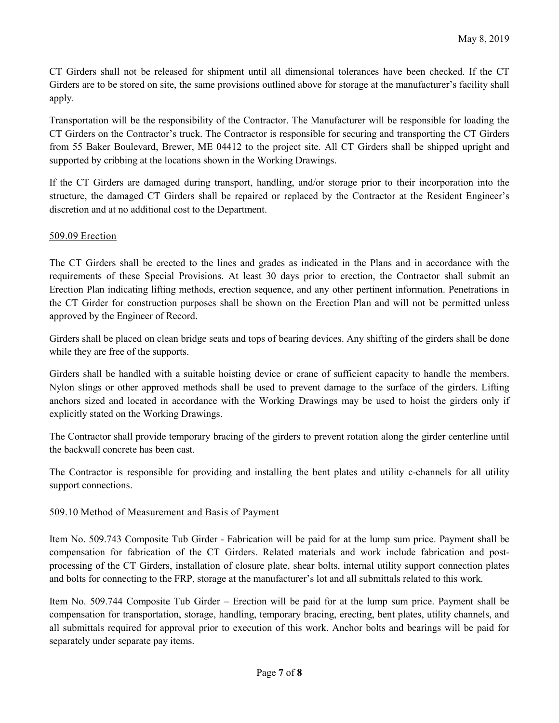CT Girders shall not be released for shipment until all dimensional tolerances have been checked. If the CT Girders are to be stored on site, the same provisions outlined above for storage at the manufacturer's facility shall apply.

Transportation will be the responsibility of the Contractor. The Manufacturer will be responsible for loading the CT Girders on the Contractor's truck. The Contractor is responsible for securing and transporting the CT Girders from 55 Baker Boulevard, Brewer, ME 04412 to the project site. All CT Girders shall be shipped upright and supported by cribbing at the locations shown in the Working Drawings.

If the CT Girders are damaged during transport, handling, and/or storage prior to their incorporation into the structure, the damaged CT Girders shall be repaired or replaced by the Contractor at the Resident Engineer's discretion and at no additional cost to the Department.

## 509.09 Erection

The CT Girders shall be erected to the lines and grades as indicated in the Plans and in accordance with the requirements of these Special Provisions. At least 30 days prior to erection, the Contractor shall submit an Erection Plan indicating lifting methods, erection sequence, and any other pertinent information. Penetrations in the CT Girder for construction purposes shall be shown on the Erection Plan and will not be permitted unless approved by the Engineer of Record.

Girders shall be placed on clean bridge seats and tops of bearing devices. Any shifting of the girders shall be done while they are free of the supports.

Girders shall be handled with a suitable hoisting device or crane of sufficient capacity to handle the members. Nylon slings or other approved methods shall be used to prevent damage to the surface of the girders. Lifting anchors sized and located in accordance with the Working Drawings may be used to hoist the girders only if explicitly stated on the Working Drawings.

The Contractor shall provide temporary bracing of the girders to prevent rotation along the girder centerline until the backwall concrete has been cast.

The Contractor is responsible for providing and installing the bent plates and utility c-channels for all utility support connections.

### 509.10 Method of Measurement and Basis of Payment

Item No. 509.743 Composite Tub Girder - Fabrication will be paid for at the lump sum price. Payment shall be compensation for fabrication of the CT Girders. Related materials and work include fabrication and postprocessing of the CT Girders, installation of closure plate, shear bolts, internal utility support connection plates and bolts for connecting to the FRP, storage at the manufacturer's lot and all submittals related to this work.

Item No. 509.744 Composite Tub Girder – Erection will be paid for at the lump sum price. Payment shall be compensation for transportation, storage, handling, temporary bracing, erecting, bent plates, utility channels, and all submittals required for approval prior to execution of this work. Anchor bolts and bearings will be paid for separately under separate pay items.